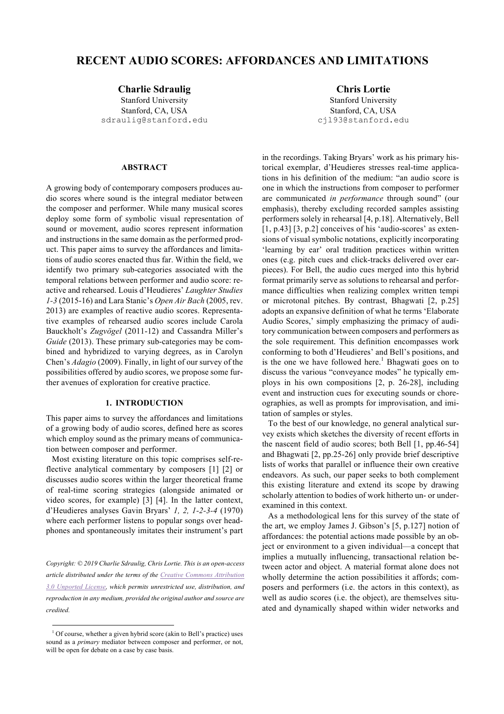# **RECENT AUDIO SCORES: AFFORDANCES AND LIMITATIONS**

**Charlie Sdraulig Chris Lortie**

Stanford University Stanford, CA, USA sdraulig@stanford.edu

# **ABSTRACT**

A growing body of contemporary composers produces audio scores where sound is the integral mediator between the composer and performer. While many musical scores deploy some form of symbolic visual representation of sound or movement, audio scores represent information and instructions in the same domain as the performed product. This paper aims to survey the affordances and limitations of audio scores enacted thus far. Within the field, we identify two primary sub-categories associated with the temporal relations between performer and audio score: reactive and rehearsed. Louis d'Heudieres' *Laughter Studies 1-3* (2015-16) and Lara Stanic's *Open Air Bach* (2005, rev. 2013) are examples of reactive audio scores. Representative examples of rehearsed audio scores include Carola Bauckholt's *Zugvögel* (2011-12) and Cassandra Miller's *Guide* (2013). These primary sub-categories may be combined and hybridized to varying degrees, as in Carolyn Chen's *Adagio* (2009). Finally, in light of our survey of the possibilities offered by audio scores, we propose some further avenues of exploration for creative practice.

# **1. INTRODUCTION**

This paper aims to survey the affordances and limitations of a growing body of audio scores, defined here as scores which employ sound as the primary means of communication between composer and performer.

Most existing literature on this topic comprises self-reflective analytical commentary by composers [1] [2] or discusses audio scores within the larger theoretical frame of real-time scoring strategies (alongside animated or video scores, for example) [3] [4]. In the latter context, d'Heudieres analyses Gavin Bryars' *1, 2, 1-2-3-4* (1970) where each performer listens to popular songs over headphones and spontaneously imitates their instrument's part

*Copyright: © 2019 Charlie Sdraulig, Chris Lortie. This is an open-access article distributed under the terms of the Creative Commons Attribution 3.0 Unported License, which permits unrestricted use, distribution, and reproduction in any medium, provided the original author and source are credited.*

Stanford University Stanford, CA, USA cjl93@stanford.edu

in the recordings. Taking Bryars' work as his primary historical exemplar, d'Heudieres stresses real-time applications in his definition of the medium: "an audio score is one in which the instructions from composer to performer are communicated *in performance* through sound" (our emphasis), thereby excluding recorded samples assisting performers solely in rehearsal [4, p.18]. Alternatively, Bell [1, p.43] [3, p.2] conceives of his 'audio-scores' as extensions of visual symbolic notations, explicitly incorporating 'learning by ear' oral tradition practices within written ones (e.g. pitch cues and click-tracks delivered over earpieces). For Bell, the audio cues merged into this hybrid format primarily serve as solutions to rehearsal and performance difficulties when realizing complex written tempi or microtonal pitches. By contrast, Bhagwati [2, p.25] adopts an expansive definition of what he terms 'Elaborate Audio Scores,' simply emphasizing the primacy of auditory communication between composers and performers as the sole requirement. This definition encompasses work conforming to both d'Heudieres' and Bell's positions, and is the one we have followed here.<sup>1</sup> Bhagwati goes on to discuss the various "conveyance modes" he typically employs in his own compositions [2, p. 26-28], including event and instruction cues for executing sounds or choreographies, as well as prompts for improvisation, and imitation of samples or styles.

To the best of our knowledge, no general analytical survey exists which sketches the diversity of recent efforts in the nascent field of audio scores; both Bell [1, pp.46-54] and Bhagwati [2, pp.25-26] only provide brief descriptive lists of works that parallel or influence their own creative endeavors. As such, our paper seeks to both complement this existing literature and extend its scope by drawing scholarly attention to bodies of work hitherto un- or underexamined in this context.

As a methodological lens for this survey of the state of the art, we employ James J. Gibson's [5, p.127] notion of affordances: the potential actions made possible by an object or environment to a given individual—a concept that implies a mutually influencing, transactional relation between actor and object. A material format alone does not wholly determine the action possibilities it affords; composers and performers (i.e. the actors in this context), as well as audio scores (i.e. the object), are themselves situated and dynamically shaped within wider networks and

<sup>&</sup>lt;sup>1</sup> Of course, whether a given hybrid score (akin to Bell's practice) uses sound as a *primary* mediator between composer and performer, or not, will be open for debate on a case by case basis.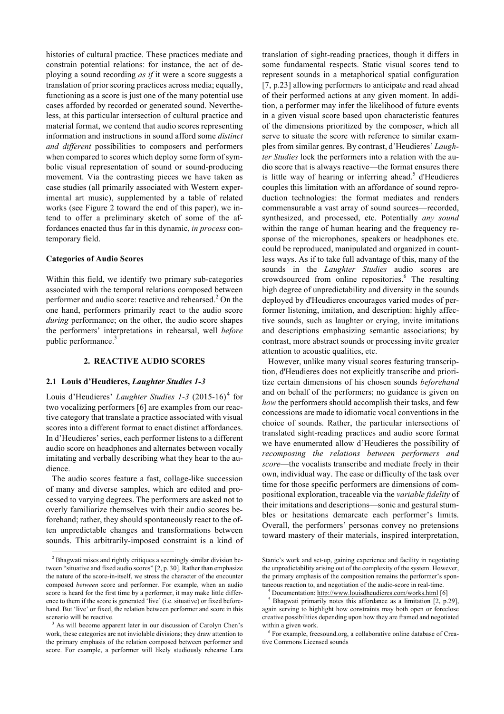histories of cultural practice. These practices mediate and constrain potential relations: for instance, the act of deploying a sound recording *as if* it were a score suggests a translation of prior scoring practices across media; equally, functioning as a score is just one of the many potential use cases afforded by recorded or generated sound. Nevertheless, at this particular intersection of cultural practice and material format, we contend that audio scores representing information and instructions in sound afford some *distinct and different* possibilities to composers and performers when compared to scores which deploy some form of symbolic visual representation of sound or sound-producing movement. Via the contrasting pieces we have taken as case studies (all primarily associated with Western experimental art music), supplemented by a table of related works (see Figure 2 toward the end of this paper), we intend to offer a preliminary sketch of some of the affordances enacted thus far in this dynamic, *in process* contemporary field.

### **Categories of Audio Scores**

Within this field, we identify two primary sub-categories associated with the temporal relations composed between performer and audio score: reactive and rehearsed.<sup>2</sup> On the one hand, performers primarily react to the audio score *during* performance; on the other, the audio score shapes the performers' interpretations in rehearsal, well *before* public performance.<sup>3</sup>

### **2. REACTIVE AUDIO SCORES**

#### **2.1 Louis d'Heudieres,** *Laughter Studies 1-3*

Louis d'Heudieres' *Laughter Studies 1-3* (2015-16)<sup>4</sup> for two vocalizing performers [6] are examples from our reactive category that translate a practice associated with visual scores into a different format to enact distinct affordances. In d'Heudieres' series, each performer listens to a different audio score on headphones and alternates between vocally imitating and verbally describing what they hear to the audience.

The audio scores feature a fast, collage-like succession of many and diverse samples, which are edited and processed to varying degrees. The performers are asked not to overly familiarize themselves with their audio scores beforehand; rather, they should spontaneously react to the often unpredictable changes and transformations between sounds. This arbitrarily-imposed constraint is a kind of translation of sight-reading practices, though it differs in some fundamental respects. Static visual scores tend to represent sounds in a metaphorical spatial configuration [7, p.23] allowing performers to anticipate and read ahead of their performed actions at any given moment. In addition, a performer may infer the likelihood of future events in a given visual score based upon characteristic features of the dimensions prioritized by the composer, which all serve to situate the score with reference to similar examples from similar genres. By contrast, d'Heudieres' *Laughter Studies* lock the performers into a relation with the audio score that is always reactive—the format ensures there is little way of hearing or inferring ahead.<sup>5</sup> d'Heudieres couples this limitation with an affordance of sound reproduction technologies: the format mediates and renders commensurable a vast array of sound sources—recorded, synthesized, and processed, etc. Potentially *any sound* within the range of human hearing and the frequency response of the microphones, speakers or headphones etc. could be reproduced, manipulated and organized in countless ways. As if to take full advantage of this, many of the sounds in the *Laughter Studies* audio scores are crowdsourced from online repositories.<sup>6</sup> The resulting high degree of unpredictability and diversity in the sounds deployed by d'Heudieres encourages varied modes of performer listening, imitation, and description: highly affective sounds, such as laughter or crying, invite imitations and descriptions emphasizing semantic associations; by contrast, more abstract sounds or processing invite greater attention to acoustic qualities, etc.

However, unlike many visual scores featuring transcription, d'Heudieres does not explicitly transcribe and prioritize certain dimensions of his chosen sounds *beforehand* and on behalf of the performers; no guidance is given on *how* the performers should accomplish their tasks, and few concessions are made to idiomatic vocal conventions in the choice of sounds. Rather, the particular intersections of translated sight-reading practices and audio score format we have enumerated allow d'Heudieres the possibility of *recomposing the relations between performers and score*—the vocalists transcribe and mediate freely in their own, individual way. The ease or difficulty of the task over time for those specific performers are dimensions of compositional exploration, traceable via the *variable fidelity* of their imitations and descriptions—sonic and gestural stumbles or hesitations demarcate each performer's limits. Overall, the performers' personas convey no pretensions toward mastery of their materials, inspired interpretation,

<sup>&</sup>lt;sup>2</sup> Bhagwati raises and rightly critiques a seemingly similar division between "situative and fixed audio scores" [2, p. 30]. Rather than emphasize the nature of the score-in-itself, we stress the character of the encounter composed *between* score and performer. For example, when an audio score is heard for the first time by a performer, it may make little difference to them if the score is generated 'live' (i.e. situative) or fixed beforehand. But 'live' or fixed, the relation between performer and score in this scenario will be reactive.<br><sup>3</sup> As will become apparent later in our discussion of Carolyn Chen's

work, these categories are not inviolable divisions; they draw attention to the primary emphasis of the relation composed between performer and score. For example, a performer will likely studiously rehearse Lara

Stanic's work and set-up, gaining experience and facility in negotiating the unpredictability arising out of the complexity of the system. However, the primary emphasis of the composition remains the performer's spontaneous reaction to, and negotiation of the audio-score in real-time. 4 Documentation: http://www.louisdheudieres.com/works.html [6]

<sup>5</sup> Bhagwati primarily notes this affordance as a limitation [2, p.29], again serving to highlight how constraints may both open or foreclose creative possibilities depending upon how they are framed and negotiated within a given work.

 $6$  For example, freesound.org, a collaborative online database of Creative Commons Licensed sounds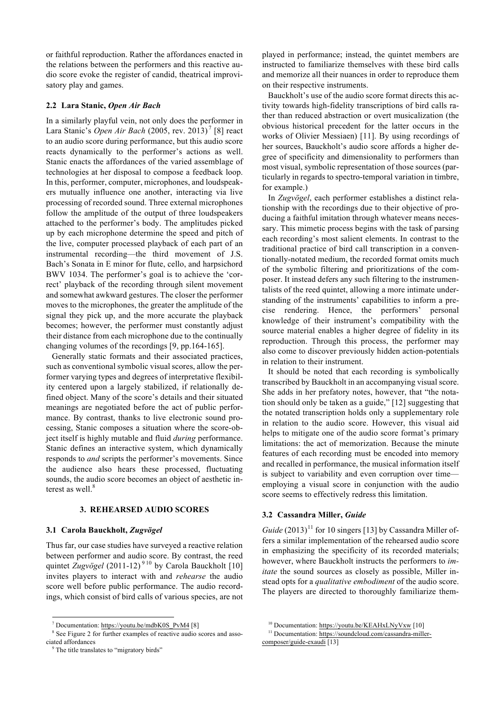or faithful reproduction. Rather the affordances enacted in the relations between the performers and this reactive audio score evoke the register of candid, theatrical improvisatory play and games.

### **2.2 Lara Stanic,** *Open Air Bach*

In a similarly playful vein, not only does the performer in Lara Stanic's *Open Air Bach* (2005, rev. 2013) <sup>7</sup> [8] react to an audio score during performance, but this audio score reacts dynamically to the performer's actions as well. Stanic enacts the affordances of the varied assemblage of technologies at her disposal to compose a feedback loop. In this, performer, computer, microphones, and loudspeakers mutually influence one another, interacting via live processing of recorded sound. Three external microphones follow the amplitude of the output of three loudspeakers attached to the performer's body. The amplitudes picked up by each microphone determine the speed and pitch of the live, computer processed playback of each part of an instrumental recording—the third movement of J.S. Bach's Sonata in E minor for flute, cello, and harpsichord BWV 1034. The performer's goal is to achieve the 'correct' playback of the recording through silent movement and somewhat awkward gestures. The closer the performer moves to the microphones, the greater the amplitude of the signal they pick up, and the more accurate the playback becomes; however, the performer must constantly adjust their distance from each microphone due to the continually changing volumes of the recordings [9, pp.164-165].

Generally static formats and their associated practices, such as conventional symbolic visual scores, allow the performer varying types and degrees of interpretative flexibility centered upon a largely stabilized, if relationally defined object. Many of the score's details and their situated meanings are negotiated before the act of public performance. By contrast, thanks to live electronic sound processing, Stanic composes a situation where the score-object itself is highly mutable and fluid *during* performance. Stanic defines an interactive system, which dynamically responds to *and* scripts the performer's movements. Since the audience also hears these processed, fluctuating sounds, the audio score becomes an object of aesthetic interest as well.<sup>8</sup>

### **3. REHEARSED AUDIO SCORES**

#### **3.1 Carola Bauckholt,** *Zugvögel*

Thus far, our case studies have surveyed a reactive relation between performer and audio score. By contrast, the reed quintet *Zugvögel* (2011-12)<sup>910</sup> by Carola Bauckholt [10] invites players to interact with and *rehearse* the audio score well before public performance. The audio recordings, which consist of bird calls of various species, are not played in performance; instead, the quintet members are instructed to familiarize themselves with these bird calls and memorize all their nuances in order to reproduce them on their respective instruments.

Bauckholt's use of the audio score format directs this activity towards high-fidelity transcriptions of bird calls rather than reduced abstraction or overt musicalization (the obvious historical precedent for the latter occurs in the works of Olivier Messiaen) [11]. By using recordings of her sources, Bauckholt's audio score affords a higher degree of specificity and dimensionality to performers than most visual, symbolic representation of those sources (particularly in regards to spectro-temporal variation in timbre, for example.)

In *Zugvögel*, each performer establishes a distinct relationship with the recordings due to their objective of producing a faithful imitation through whatever means necessary. This mimetic process begins with the task of parsing each recording's most salient elements. In contrast to the traditional practice of bird call transcription in a conventionally-notated medium, the recorded format omits much of the symbolic filtering and prioritizations of the composer. It instead defers any such filtering to the instrumentalists of the reed quintet, allowing a more intimate understanding of the instruments' capabilities to inform a precise rendering. Hence, the performers' personal knowledge of their instrument's compatibility with the source material enables a higher degree of fidelity in its reproduction. Through this process, the performer may also come to discover previously hidden action-potentials in relation to their instrument.

It should be noted that each recording is symbolically transcribed by Bauckholt in an accompanying visual score. She adds in her prefatory notes, however, that "the notation should only be taken as a guide," [12] suggesting that the notated transcription holds only a supplementary role in relation to the audio score. However, this visual aid helps to mitigate one of the audio score format's primary limitations: the act of memorization. Because the minute features of each recording must be encoded into memory and recalled in performance, the musical information itself is subject to variability and even corruption over time employing a visual score in conjunction with the audio score seems to effectively redress this limitation.

# **3.2 Cassandra Miller,** *Guide*

*Guide*  $(2013)^{11}$  for 10 singers [13] by Cassandra Miller offers a similar implementation of the rehearsed audio score in emphasizing the specificity of its recorded materials; however, where Bauckholt instructs the performers to *imitate* the sound sources as closely as possible, Miller instead opts for a *qualitative embodiment* of the audio score. The players are directed to thoroughly familiarize them-

 <sup>7</sup> Documentation: https://youtu.be/mdbK0S\_PvM4 [8]

See Figure 2 for further examples of reactive audio scores and associated affordances

<sup>&</sup>lt;sup>9</sup> The title translates to "migratory birds"

<sup>&</sup>lt;sup>10</sup> Documentation: https://youtu.be/KEAHxLNyVxw [10]

<sup>&</sup>lt;sup>11</sup> Documentation: https://soundcloud.com/cassandra-millercomposer/guide-exaudi [13]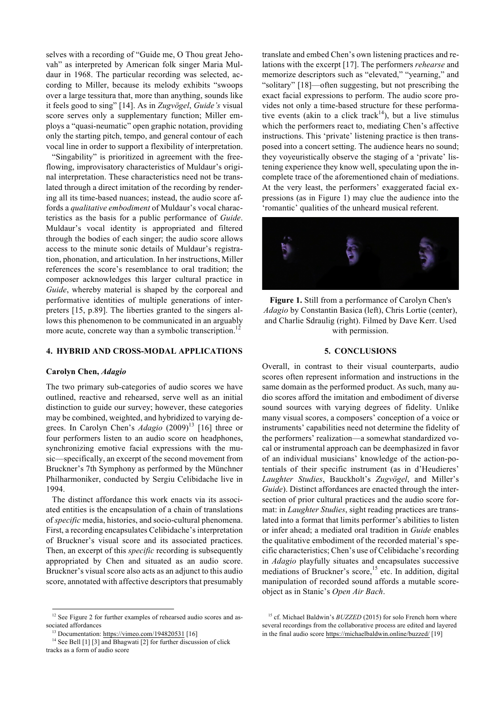selves with a recording of "Guide me, O Thou great Jehovah" as interpreted by American folk singer Maria Muldaur in 1968. The particular recording was selected, according to Miller, because its melody exhibits "swoops over a large tessitura that, more than anything, sounds like it feels good to sing" [14]. As in *Zugvögel*, *Guide's* visual score serves only a supplementary function; Miller employs a "quasi-neumatic" open graphic notation, providing only the starting pitch, tempo, and general contour of each vocal line in order to support a flexibility of interpretation.

"Singability" is prioritized in agreement with the freeflowing, improvisatory characteristics of Muldaur's original interpretation. These characteristics need not be translated through a direct imitation of the recording by rendering all its time-based nuances; instead, the audio score affords a *qualitative embodiment* of Muldaur's vocal characteristics as the basis for a public performance of *Guide*. Muldaur's vocal identity is appropriated and filtered through the bodies of each singer; the audio score allows access to the minute sonic details of Muldaur's registration, phonation, and articulation. In her instructions, Miller references the score's resemblance to oral tradition; the composer acknowledges this larger cultural practice in *Guide*, whereby material is shaped by the corporeal and performative identities of multiple generations of interpreters [15, p.89]. The liberties granted to the singers allows this phenomenon to be communicated in an arguably more acute, concrete way than a symbolic transcription.<sup>12</sup>

# **4. HYBRID AND CROSS-MODAL APPLICATIONS**

### **Carolyn Chen,** *Adagio*

The two primary sub-categories of audio scores we have outlined, reactive and rehearsed, serve well as an initial distinction to guide our survey; however, these categories may be combined, weighted, and hybridized to varying degrees. In Carolyn Chen's *Adagio* (2009)<sup>13</sup> [16] three or four performers listen to an audio score on headphones, synchronizing emotive facial expressions with the music—specifically, an excerpt of the second movement from Bruckner's 7th Symphony as performed by the Münchner Philharmoniker, conducted by Sergiu Celibidache live in 1994.

The distinct affordance this work enacts via its associated entities is the encapsulation of a chain of translations of *specific* media, histories, and socio-cultural phenomena. First, a recording encapsulates Celibidache's interpretation of Bruckner's visual score and its associated practices. Then, an excerpt of this *specific* recording is subsequently appropriated by Chen and situated as an audio score. Bruckner's visual score also acts as an adjunct to this audio score, annotated with affective descriptors that presumably translate and embed Chen's own listening practices and relations with the excerpt [17]. The performers *rehearse* and memorize descriptors such as "elevated," "yearning," and "solitary" [18]—often suggesting, but not prescribing the exact facial expressions to perform. The audio score provides not only a time-based structure for these performative events (akin to a click track<sup>14</sup>), but a live stimulus which the performers react to, mediating Chen's affective instructions. This 'private' listening practice is then transposed into a concert setting. The audience hears no sound; they voyeuristically observe the staging of a 'private' listening experience they know well, speculating upon the incomplete trace of the aforementioned chain of mediations. At the very least, the performers' exaggerated facial expressions (as in Figure 1) may clue the audience into the 'romantic' qualities of the unheard musical referent.



**Figure 1.** Still from a performance of Carolyn Chen's *Adagio* by Constantin Basica (left), Chris Lortie (center), and Charlie Sdraulig (right). Filmed by Dave Kerr. Used with permission.

#### **5. CONCLUSIONS**

Overall, in contrast to their visual counterparts, audio scores often represent information and instructions in the same domain as the performed product. As such, many audio scores afford the imitation and embodiment of diverse sound sources with varying degrees of fidelity. Unlike many visual scores, a composers' conception of a voice or instruments' capabilities need not determine the fidelity of the performers' realization—a somewhat standardized vocal or instrumental approach can be deemphasized in favor of an individual musicians' knowledge of the action-potentials of their specific instrument (as in d'Heudieres' *Laughter Studies*, Bauckholt's *Zugvögel*, and Miller's *Guide*). Distinct affordances are enacted through the intersection of prior cultural practices and the audio score format: in *Laughter Studies*, sight reading practices are translated into a format that limits performer's abilities to listen or infer ahead; a mediated oral tradition in *Guide* enables the qualitative embodiment of the recorded material's specific characteristics; Chen's use of Celibidache's recording in *Adagio* playfully situates and encapsulates successive mediations of Bruckner's score,<sup>15</sup> etc. In addition, digital manipulation of recorded sound affords a mutable scoreobject as in Stanic's *Open Air Bach*.

<sup>&</sup>lt;sup>12</sup> See Figure 2 for further examples of rehearsed audio scores and associated affordances

<sup>&</sup>lt;sup>13</sup> Documentation: https://vimeo.com/194820531 [16]

<sup>&</sup>lt;sup>14</sup> See Bell [1] [3] and Bhagwati [2] for further discussion of click tracks as a form of audio score

<sup>&</sup>lt;sup>15</sup> cf. Michael Baldwin's *BUZZED* (2015) for solo French horn where several recordings from the collaborative process are edited and layered in the final audio score https://michaelbaldwin.online/buzzed/ [19]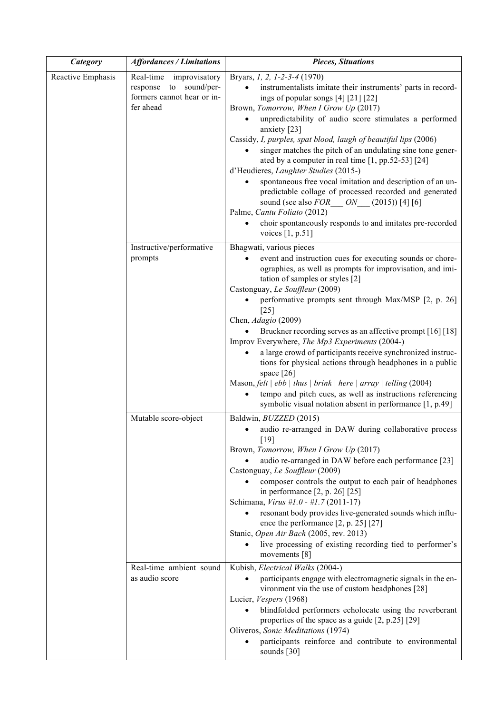| Category          | <b>Affordances / Limitations</b>                                                                | <b>Pieces, Situations</b>                                                                                                                                                                                                                                                                                                                                                                                                                                                                                                                                                                                                                                                                                                                                                                                                                                                                                                                                                                                              |
|-------------------|-------------------------------------------------------------------------------------------------|------------------------------------------------------------------------------------------------------------------------------------------------------------------------------------------------------------------------------------------------------------------------------------------------------------------------------------------------------------------------------------------------------------------------------------------------------------------------------------------------------------------------------------------------------------------------------------------------------------------------------------------------------------------------------------------------------------------------------------------------------------------------------------------------------------------------------------------------------------------------------------------------------------------------------------------------------------------------------------------------------------------------|
| Reactive Emphasis | Real-time<br>improvisatory<br>response to sound/per-<br>formers cannot hear or in-<br>fer ahead | Bryars, 1, 2, 1-2-3-4 (1970)<br>instrumentalists imitate their instruments' parts in record-<br>ings of popular songs [4] [21] [22]<br>Brown, Tomorrow, When I Grow Up (2017)<br>unpredictability of audio score stimulates a performed<br>$\bullet$<br>anxiety [23]<br>Cassidy, I, purples, spat blood, laugh of beautiful lips (2006)<br>singer matches the pitch of an undulating sine tone gener-<br>ated by a computer in real time [1, pp.52-53] [24]<br>d'Heudieres, Laughter Studies (2015-)<br>spontaneous free vocal imitation and description of an un-<br>predictable collage of processed recorded and generated<br>sound (see also $FOR$ ON (2015)) [4] [6]<br>Palme, Cantu Foliato (2012)<br>choir spontaneously responds to and imitates pre-recorded<br>voices $[1, p.51]$                                                                                                                                                                                                                            |
|                   | Instructive/performative<br>prompts                                                             | Bhagwati, various pieces<br>event and instruction cues for executing sounds or chore-<br>ographies, as well as prompts for improvisation, and imi-<br>tation of samples or styles [2]<br>Castonguay, Le Souffleur (2009)<br>performative prompts sent through Max/MSP [2, p. 26]<br>$[25]$<br>Chen, Adagio (2009)<br>Bruckner recording serves as an affective prompt [16] [18]<br>Improv Everywhere, The Mp3 Experiments (2004-)<br>a large crowd of participants receive synchronized instruc-<br>tions for physical actions through headphones in a public<br>space [26]<br>Mason, felt $\vert$ ebb $\vert$ thus $\vert$ brink $\vert$ here $\vert$ array $\vert$ telling (2004)<br>tempo and pitch cues, as well as instructions referencing<br>symbolic visual notation absent in performance [1, p.49]                                                                                                                                                                                                           |
|                   | Mutable score-object<br>Real-time ambient sound<br>as audio score                               | Baldwin, BUZZED (2015)<br>audio re-arranged in DAW during collaborative process<br>$[19]$<br>Brown, Tomorrow, When I Grow Up (2017)<br>audio re-arranged in DAW before each performance [23]<br>Castonguay, Le Souffleur (2009)<br>composer controls the output to each pair of headphones<br>in performance [2, p. 26] [25]<br>Schimana, Virus #1.0 - #1.7 (2011-17)<br>resonant body provides live-generated sounds which influ-<br>ence the performance $[2, p. 25]$ $[27]$<br>Stanic, Open Air Bach (2005, rev. 2013)<br>live processing of existing recording tied to performer's<br>movements [8]<br>Kubish, Electrical Walks (2004-)<br>participants engage with electromagnetic signals in the en-<br>vironment via the use of custom headphones [28]<br>Lucier, Vespers (1968)<br>blindfolded performers echolocate using the reverberant<br>properties of the space as a guide [2, p.25] [29]<br>Oliveros, Sonic Meditations (1974)<br>participants reinforce and contribute to environmental<br>sounds [30] |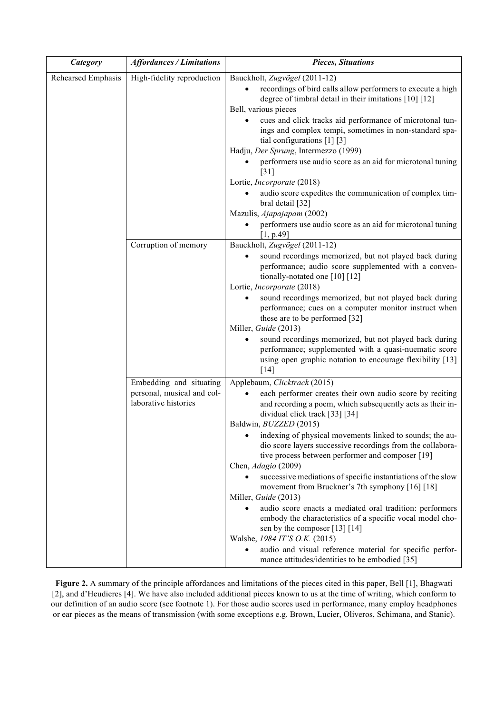| Category           | <b>Affordances / Limitations</b>                                              | <b>Pieces, Situations</b>                                                                                                                                                                                                                  |
|--------------------|-------------------------------------------------------------------------------|--------------------------------------------------------------------------------------------------------------------------------------------------------------------------------------------------------------------------------------------|
| Rehearsed Emphasis | High-fidelity reproduction                                                    | Bauckholt, Zugvögel (2011-12)<br>recordings of bird calls allow performers to execute a high<br>degree of timbral detail in their imitations [10] [12]<br>Bell, various pieces<br>cues and click tracks aid performance of microtonal tun- |
|                    |                                                                               | ings and complex tempi, sometimes in non-standard spa-<br>tial configurations [1] [3]<br>Hadju, Der Sprung, Intermezzo (1999)<br>performers use audio score as an aid for microtonal tuning                                                |
|                    |                                                                               | $\lceil 31 \rceil$<br>Lortie, Incorporate (2018)                                                                                                                                                                                           |
|                    |                                                                               | audio score expedites the communication of complex tim-<br>bral detail [32]                                                                                                                                                                |
|                    |                                                                               | Mazulis, Ajapajapam (2002)<br>performers use audio score as an aid for microtonal tuning<br>[1, p.49]                                                                                                                                      |
|                    | Corruption of memory                                                          | Bauckholt, Zugvögel (2011-12)<br>sound recordings memorized, but not played back during<br>performance; audio score supplemented with a conven-<br>tionally-notated one [10] [12]<br>Lortie, Incorporate (2018)                            |
|                    |                                                                               | sound recordings memorized, but not played back during<br>performance; cues on a computer monitor instruct when<br>these are to be performed [32]<br>Miller, Guide (2013)                                                                  |
|                    |                                                                               | sound recordings memorized, but not played back during<br>performance; supplemented with a quasi-nuematic score<br>using open graphic notation to encourage flexibility [13]<br>$[14]$                                                     |
|                    | Embedding and situating<br>personal, musical and col-<br>laborative histories | Applebaum, Clicktrack (2015)<br>each performer creates their own audio score by reciting<br>and recording a poem, which subsequently acts as their in-<br>dividual click track [33] [34]<br>Baldwin, <i>BUZZED</i> (2015)                  |
|                    |                                                                               | indexing of physical movements linked to sounds; the au-<br>dio score layers successive recordings from the collabora-<br>tive process between performer and composer [19]<br>Chen, Adagio (2009)                                          |
|                    |                                                                               | successive mediations of specific instantiations of the slow<br>movement from Bruckner's 7th symphony [16] [18]<br>Miller, Guide (2013)                                                                                                    |
|                    |                                                                               | audio score enacts a mediated oral tradition: performers<br>embody the characteristics of a specific vocal model cho-<br>sen by the composer [13] [14]<br>Walshe, 1984 IT'S O.K. (2015)                                                    |
|                    |                                                                               | audio and visual reference material for specific perfor-<br>$\bullet$<br>mance attitudes/identities to be embodied [35]                                                                                                                    |

**Figure 2.** A summary of the principle affordances and limitations of the pieces cited in this paper, Bell [1], Bhagwati [2], and d'Heudieres [4]. We have also included additional pieces known to us at the time of writing, which conform to our definition of an audio score (see footnote 1). For those audio scores used in performance, many employ headphones or ear pieces as the means of transmission (with some exceptions e.g. Brown, Lucier, Oliveros, Schimana, and Stanic).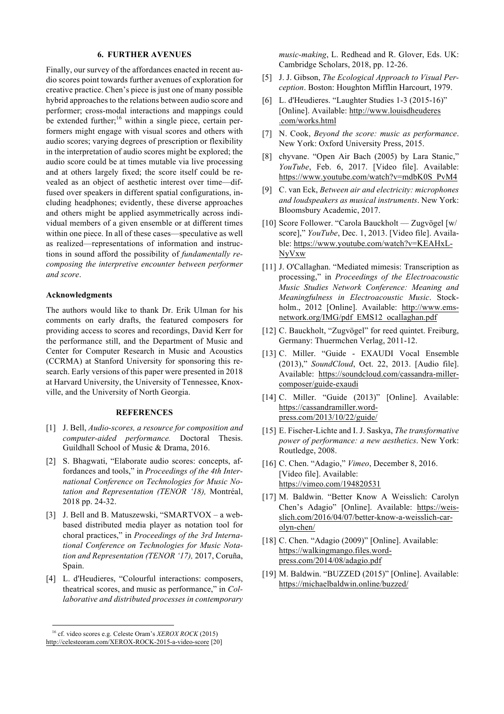### **6. FURTHER AVENUES**

Finally, our survey of the affordances enacted in recent audio scores point towards further avenues of exploration for creative practice. Chen's piece is just one of many possible hybrid approaches to the relations between audio score and performer; cross-modal interactions and mappings could be extended further;<sup>16</sup> within a single piece, certain performers might engage with visual scores and others with audio scores; varying degrees of prescription or flexibility in the interpretation of audio scores might be explored; the audio score could be at times mutable via live processing and at others largely fixed; the score itself could be revealed as an object of aesthetic interest over time—diffused over speakers in different spatial configurations, including headphones; evidently, these diverse approaches and others might be applied asymmetrically across individual members of a given ensemble or at different times within one piece. In all of these cases—speculative as well as realized—representations of information and instructions in sound afford the possibility of *fundamentally recomposing the interpretive encounter between performer and score*.

## **Acknowledgments**

The authors would like to thank Dr. Erik Ulman for his comments on early drafts, the featured composers for providing access to scores and recordings, David Kerr for the performance still, and the Department of Music and Center for Computer Research in Music and Acoustics (CCRMA) at Stanford University for sponsoring this research. Early versions of this paper were presented in 2018 at Harvard University, the University of Tennessee, Knoxville, and the University of North Georgia.

# **REFERENCES**

- [1] J. Bell, *Audio-scores, a resource for composition and computer-aided performance.* Doctoral Thesis. Guildhall School of Music & Drama, 2016.
- [2] S. Bhagwati, "Elaborate audio scores: concepts, affordances and tools," in *Proceedings of the 4th International Conference on Technologies for Music Notation and Representation (TENOR '18),* Montréal, 2018 pp. 24-32.
- [3] J. Bell and B. Matuszewski, "SMARTVOX a webbased distributed media player as notation tool for choral practices," in *Proceedings of the 3rd International Conference on Technologies for Music Notation and Representation (TENOR '17),* 2017, Coruña, Spain.
- [4] L. d'Heudieres, "Colourful interactions: composers, theatrical scores, and music as performance," in *Collaborative and distributed processes in contemporary*

*music-making*, L. Redhead and R. Glover, Eds. UK: Cambridge Scholars, 2018, pp. 12-26.

- [5] J. J. Gibson, *The Ecological Approach to Visual Perception*. Boston: Houghton Mifflin Harcourt, 1979.
- [6] L. d'Heudieres. "Laughter Studies 1-3 (2015-16)" [Online]. Available: http://www.louisdheuderes .com/works.html
- [7] N. Cook, *Beyond the score: music as performance*. New York: Oxford University Press, 2015.
- [8] chyvane. "Open Air Bach (2005) by Lara Stanic," *YouTube*, Feb. 6, 2017. [Video file]. Available: https://www.youtube.com/watch?v=mdbK0S\_PvM4
- [9] C. van Eck, *Between air and electricity: microphones and loudspeakers as musical instruments*. New York: Bloomsbury Academic, 2017.
- [10] Score Follower. "Carola Bauckholt Zugvögel [w/ score]," *YouTube*, Dec. 1, 2013. [Video file]. Available: https://www.youtube.com/watch?v=KEAHxL-NyVxw
- [11] J. O'Callaghan. "Mediated mimesis: Transcription as processing," in *Proceedings of the Electroacoustic Music Studies Network Conference: Meaning and Meaningfulness in Electroacoustic Music*. Stockholm., 2012 [Online]. Available: http://www.emsnetwork.org/IMG/pdf\_EMS12\_ocallaghan.pdf
- [12] C. Bauckholt, "Zugvögel" for reed quintet. Freiburg, Germany: Thuermchen Verlag, 2011-12.
- [13] C. Miller. "Guide EXAUDI Vocal Ensemble (2013)," *SoundCloud*, Oct. 22, 2013. [Audio file]. Available: https://soundcloud.com/cassandra-millercomposer/guide-exaudi
- [14] C. Miller. "Guide (2013)" [Online]. Available: https://cassandramiller.wordpress.com/2013/10/22/guide/
- [15] E. Fischer-Lichte and I. J. Saskya, *The transformative power of performance: a new aesthetics*. New York: Routledge, 2008.
- [16] C. Chen. "Adagio," *Vimeo*, December 8, 2016. [Video file]. Available: https://vimeo.com/194820531
- [17] M. Baldwin. "Better Know A Weisslich: Carolyn Chen's Adagio" [Online]. Available: https://weisslich.com/2016/04/07/better-know-a-weisslich-carolyn-chen/
- [18] C. Chen. "Adagio (2009)" [Online]. Available: https://walkingmango.files.wordpress.com/2014/08/adagio.pdf
- [19] M. Baldwin. "BUZZED (2015)" [Online]. Available: https://michaelbaldwin.online/buzzed/

 <sup>16</sup> cf. video scores e.g. Celeste Oram's *XEROX ROCK* (2015) http://celesteoram.com/XEROX-ROCK-2015-a-video-score [20]